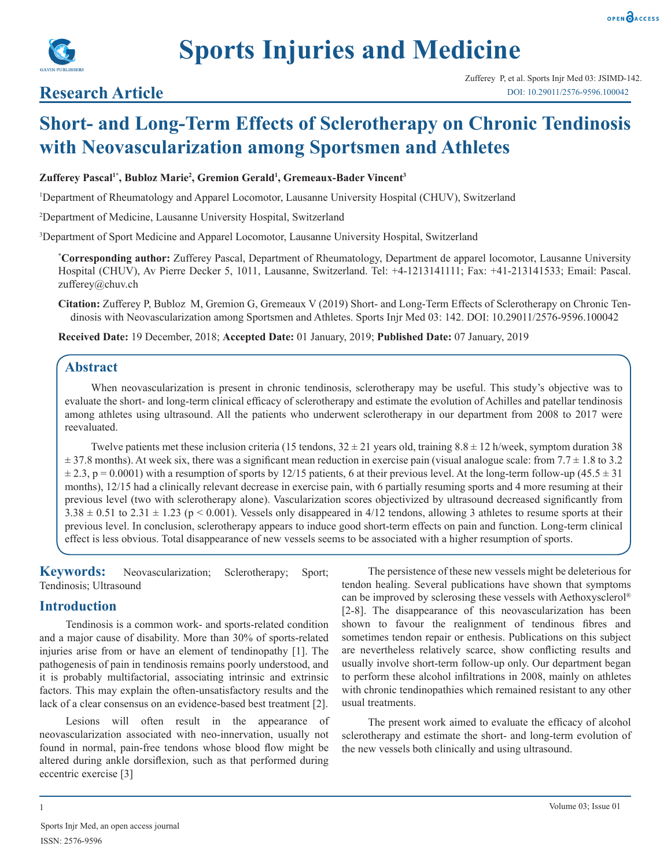

# **Research Article**

# **Short- and Long-Term Effects of Sclerotherapy on Chronic Tendinosis with Neovascularization among Sportsmen and Athletes**

#### **Zufferey Pascal1\*, Bubloz Marie2 , Gremion Gerald1 , Gremeaux-Bader Vincent3**

1 Department of Rheumatology and Apparel Locomotor, Lausanne University Hospital (CHUV), Switzerland

2 Department of Medicine, Lausanne University Hospital, Switzerland

3 Department of Sport Medicine and Apparel Locomotor, Lausanne University Hospital, Switzerland

**\* Corresponding author:** Zufferey Pascal, Department of Rheumatology, Department de apparel locomotor, Lausanne University Hospital (CHUV), Av Pierre Decker 5, 1011, Lausanne, Switzerland. Tel: +4-1213141111; Fax: +41-213141533; Email: Pascal. zufferey@chuv.ch

**Citation:** Zufferey P, Bubloz M, Gremion G, Gremeaux V (2019) Short- and Long-Term Effects of Sclerotherapy on Chronic Tendinosis with Neovascularization among Sportsmen and Athletes. Sports Injr Med 03: 142. DOI: 10.29011/2576-9596.100042

**Received Date:** 19 December, 2018; **Accepted Date:** 01 January, 2019; **Published Date:** 07 January, 2019

# **Abstract**

When neovascularization is present in chronic tendinosis, sclerotherapy may be useful. This study's objective was to evaluate the short- and long-term clinical efficacy of sclerotherapy and estimate the evolution of Achilles and patellar tendinosis among athletes using ultrasound. All the patients who underwent sclerotherapy in our department from 2008 to 2017 were reevaluated.

Twelve patients met these inclusion criteria (15 tendons,  $32 \pm 21$  years old, training  $8.8 \pm 12$  h/week, symptom duration 38  $\pm$  37.8 months). At week six, there was a significant mean reduction in exercise pain (visual analogue scale: from 7.7  $\pm$  1.8 to 3.2  $\pm$  2.3, p = 0.0001) with a resumption of sports by 12/15 patients, 6 at their previous level. At the long-term follow-up (45.5  $\pm$  31) months), 12/15 had a clinically relevant decrease in exercise pain, with 6 partially resuming sports and 4 more resuming at their previous level (two with sclerotherapy alone). Vascularization scores objectivized by ultrasound decreased significantly from  $3.38 \pm 0.51$  to  $2.31 \pm 1.23$  (p < 0.001). Vessels only disappeared in 4/12 tendons, allowing 3 athletes to resume sports at their previous level. In conclusion, sclerotherapy appears to induce good short-term effects on pain and function. Long-term clinical effect is less obvious. Total disappearance of new vessels seems to be associated with a higher resumption of sports.

**Keywords:** Neovascularization; Sclerotherapy; Sport; Tendinosis; Ultrasound

# **Introduction**

Tendinosis is a common work- and sports-related condition and a major cause of disability. More than 30% of sports-related injuries arise from or have an element of tendinopathy [1]. The pathogenesis of pain in tendinosis remains poorly understood, and it is probably multifactorial, associating intrinsic and extrinsic factors. This may explain the often-unsatisfactory results and the lack of a clear consensus on an evidence-based best treatment [2].

Lesions will often result in the appearance of neovascularization associated with neo-innervation, usually not found in normal, pain-free tendons whose blood flow might be altered during ankle dorsiflexion, such as that performed during eccentric exercise [3]

The persistence of these new vessels might be deleterious for tendon healing. Several publications have shown that symptoms can be improved by sclerosing these vessels with Aethoxysclerol® [2-8]. The disappearance of this neovascularization has been shown to favour the realignment of tendinous fibres and sometimes tendon repair or enthesis. Publications on this subject are nevertheless relatively scarce, show conflicting results and usually involve short-term follow-up only. Our department began to perform these alcohol infiltrations in 2008, mainly on athletes with chronic tendinopathies which remained resistant to any other usual treatments.

The present work aimed to evaluate the efficacy of alcohol sclerotherapy and estimate the short- and long-term evolution of the new vessels both clinically and using ultrasound.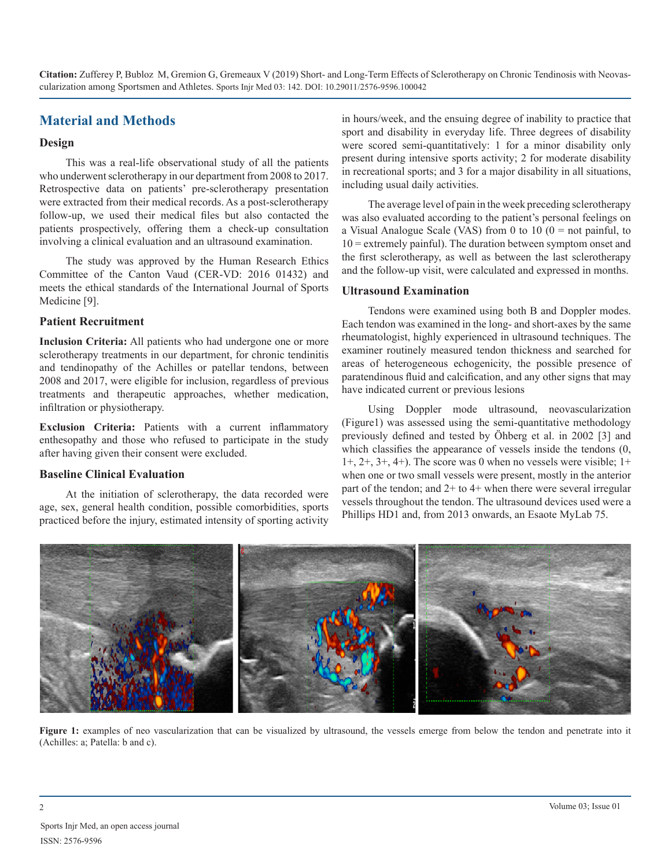# **Material and Methods**

#### **Design**

This was a real-life observational study of all the patients who underwent sclerotherapy in our department from 2008 to 2017. Retrospective data on patients' pre-sclerotherapy presentation were extracted from their medical records. As a post-sclerotherapy follow-up, we used their medical files but also contacted the patients prospectively, offering them a check-up consultation involving a clinical evaluation and an ultrasound examination.

The study was approved by the Human Research Ethics Committee of the Canton Vaud (CER-VD: 2016 01432) and meets the ethical standards of the International Journal of Sports Medicine [9].

#### **Patient Recruitment**

**Inclusion Criteria:** All patients who had undergone one or more sclerotherapy treatments in our department, for chronic tendinitis and tendinopathy of the Achilles or patellar tendons, between 2008 and 2017, were eligible for inclusion, regardless of previous treatments and therapeutic approaches, whether medication, infiltration or physiotherapy.

**Exclusion Criteria:** Patients with a current inflammatory enthesopathy and those who refused to participate in the study after having given their consent were excluded.

#### **Baseline Clinical Evaluation**

At the initiation of sclerotherapy, the data recorded were age, sex, general health condition, possible comorbidities, sports practiced before the injury, estimated intensity of sporting activity in hours/week, and the ensuing degree of inability to practice that sport and disability in everyday life. Three degrees of disability were scored semi-quantitatively: 1 for a minor disability only present during intensive sports activity; 2 for moderate disability in recreational sports; and 3 for a major disability in all situations, including usual daily activities.

The average level of pain in the week preceding sclerotherapy was also evaluated according to the patient's personal feelings on a Visual Analogue Scale (VAS) from 0 to 10 ( $0 =$  not painful, to 10 = extremely painful). The duration between symptom onset and the first sclerotherapy, as well as between the last sclerotherapy and the follow-up visit, were calculated and expressed in months.

#### **Ultrasound Examination**

Tendons were examined using both B and Doppler modes. Each tendon was examined in the long- and short-axes by the same rheumatologist, highly experienced in ultrasound techniques. The examiner routinely measured tendon thickness and searched for areas of heterogeneous echogenicity, the possible presence of paratendinous fluid and calcification, and any other signs that may have indicated current or previous lesions

Using Doppler mode ultrasound, neovascularization (Figure1) was assessed using the semi-quantitative methodology previously defined and tested by Öhberg et al. in 2002 [3] and which classifies the appearance of vessels inside the tendons (0,  $1+, 2+, 3+, 4+$ ). The score was 0 when no vessels were visible;  $1+$ when one or two small vessels were present, mostly in the anterior part of the tendon; and 2+ to 4+ when there were several irregular vessels throughout the tendon. The ultrasound devices used were a Phillips HD1 and, from 2013 onwards, an Esaote MyLab 75.



Figure 1: examples of neo vascularization that can be visualized by ultrasound, the vessels emerge from below the tendon and penetrate into it (Achilles: a; Patella: b and c).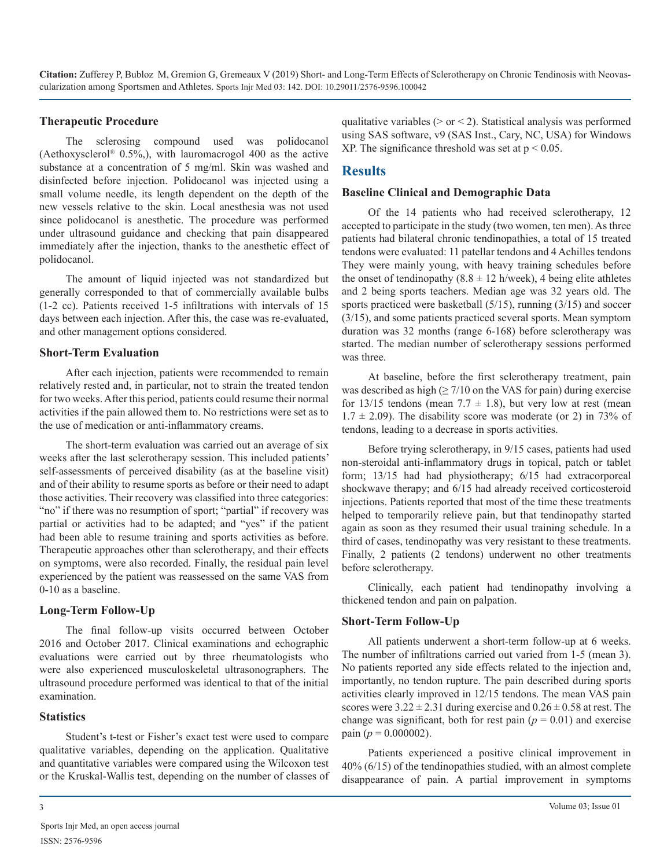#### **Therapeutic Procedure**

The sclerosing compound used was polidocanol (Aethoxysclerol® 0.5%,), with lauromacrogol 400 as the active substance at a concentration of 5 mg/ml. Skin was washed and disinfected before injection. Polidocanol was injected using a small volume needle, its length dependent on the depth of the new vessels relative to the skin. Local anesthesia was not used since polidocanol is anesthetic. The procedure was performed under ultrasound guidance and checking that pain disappeared immediately after the injection, thanks to the anesthetic effect of polidocanol.

The amount of liquid injected was not standardized but generally corresponded to that of commercially available bulbs (1-2 cc). Patients received 1-5 infiltrations with intervals of 15 days between each injection. After this, the case was re-evaluated, and other management options considered.

#### **Short-Term Evaluation**

After each injection, patients were recommended to remain relatively rested and, in particular, not to strain the treated tendon for two weeks. After this period, patients could resume their normal activities if the pain allowed them to. No restrictions were set as to the use of medication or anti-inflammatory creams.

The short-term evaluation was carried out an average of six weeks after the last sclerotherapy session. This included patients' self-assessments of perceived disability (as at the baseline visit) and of their ability to resume sports as before or their need to adapt those activities. Their recovery was classified into three categories: "no" if there was no resumption of sport; "partial" if recovery was partial or activities had to be adapted; and "yes" if the patient had been able to resume training and sports activities as before. Therapeutic approaches other than sclerotherapy, and their effects on symptoms, were also recorded. Finally, the residual pain level experienced by the patient was reassessed on the same VAS from 0-10 as a baseline.

#### **Long-Term Follow-Up**

The final follow-up visits occurred between October 2016 and October 2017. Clinical examinations and echographic evaluations were carried out by three rheumatologists who were also experienced musculoskeletal ultrasonographers. The ultrasound procedure performed was identical to that of the initial examination.

#### **Statistics**

Student's t-test or Fisher's exact test were used to compare qualitative variables, depending on the application. Qualitative and quantitative variables were compared using the Wilcoxon test or the Kruskal-Wallis test, depending on the number of classes of

# **Results**

#### **Baseline Clinical and Demographic Data**

Of the 14 patients who had received sclerotherapy, 12 accepted to participate in the study (two women, ten men). As three patients had bilateral chronic tendinopathies, a total of 15 treated tendons were evaluated: 11 patellar tendons and 4 Achilles tendons They were mainly young, with heavy training schedules before the onset of tendinopathy (8.8  $\pm$  12 h/week), 4 being elite athletes and 2 being sports teachers. Median age was 32 years old. The sports practiced were basketball (5/15), running (3/15) and soccer (3/15), and some patients practiced several sports. Mean symptom duration was 32 months (range 6-168) before sclerotherapy was started. The median number of sclerotherapy sessions performed was three.

At baseline, before the first sclerotherapy treatment, pain was described as high  $(\geq 7/10)$  on the VAS for pain) during exercise for 13/15 tendons (mean  $7.7 \pm 1.8$ ), but very low at rest (mean  $1.7 \pm 2.09$ ). The disability score was moderate (or 2) in 73% of tendons, leading to a decrease in sports activities.

Before trying sclerotherapy, in 9/15 cases, patients had used non-steroidal anti-inflammatory drugs in topical, patch or tablet form; 13/15 had had physiotherapy; 6/15 had extracorporeal shockwave therapy; and 6/15 had already received corticosteroid injections. Patients reported that most of the time these treatments helped to temporarily relieve pain, but that tendinopathy started again as soon as they resumed their usual training schedule. In a third of cases, tendinopathy was very resistant to these treatments. Finally, 2 patients (2 tendons) underwent no other treatments before sclerotherapy.

Clinically, each patient had tendinopathy involving a thickened tendon and pain on palpation.

#### **Short-Term Follow-Up**

All patients underwent a short-term follow-up at 6 weeks. The number of infiltrations carried out varied from 1-5 (mean 3). No patients reported any side effects related to the injection and, importantly, no tendon rupture. The pain described during sports activities clearly improved in 12/15 tendons. The mean VAS pain scores were  $3.22 \pm 2.31$  during exercise and  $0.26 \pm 0.58$  at rest. The change was significant, both for rest pain  $(p = 0.01)$  and exercise pain ( $p = 0.000002$ ).

Patients experienced a positive clinical improvement in 40% (6/15) of the tendinopathies studied, with an almost complete disappearance of pain. A partial improvement in symptoms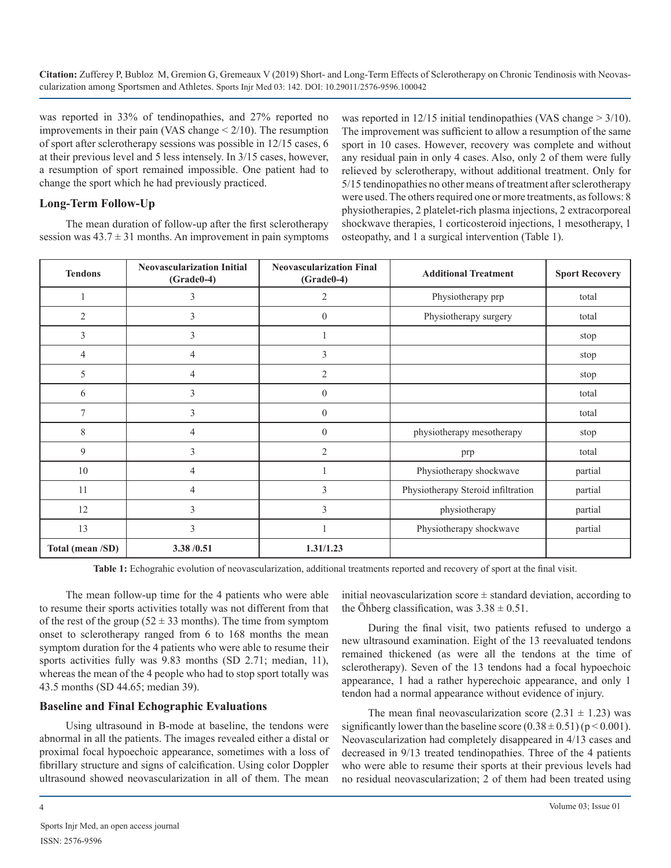was reported in 33% of tendinopathies, and 27% reported no improvements in their pain (VAS change  $\leq$  2/10). The resumption of sport after sclerotherapy sessions was possible in 12/15 cases, 6 at their previous level and 5 less intensely. In 3/15 cases, however, a resumption of sport remained impossible. One patient had to change the sport which he had previously practiced.

#### **Long-Term Follow-Up**

The mean duration of follow-up after the first sclerotherapy session was  $43.7 \pm 31$  months. An improvement in pain symptoms was reported in  $12/15$  initial tendinopathies (VAS change  $> 3/10$ ). The improvement was sufficient to allow a resumption of the same sport in 10 cases. However, recovery was complete and without any residual pain in only 4 cases. Also, only 2 of them were fully relieved by sclerotherapy, without additional treatment. Only for 5/15 tendinopathies no other means of treatment after sclerotherapy were used. The others required one or more treatments, as follows: 8 physiotherapies, 2 platelet-rich plasma injections, 2 extracorporeal shockwave therapies, 1 corticosteroid injections, 1 mesotherapy, 1 osteopathy, and 1 a surgical intervention (Table 1).

| <b>Tendons</b>   | <b>Neovascularization Initial</b><br>$(Grade0-4)$ | <b>Neovascularization Final</b><br>$(Grade0-4)$ | <b>Additional Treatment</b>        | <b>Sport Recovery</b> |
|------------------|---------------------------------------------------|-------------------------------------------------|------------------------------------|-----------------------|
|                  | 3                                                 | 2                                               | Physiotherapy prp                  | total                 |
| $\overline{2}$   | 3                                                 | $\mathbf{0}$                                    | Physiotherapy surgery              | total                 |
| 3                | 3                                                 |                                                 |                                    | stop                  |
| 4                | 4                                                 | 3                                               |                                    | stop                  |
| 5                | $\overline{4}$                                    | $\overline{2}$                                  |                                    | stop                  |
| 6                | 3                                                 | $\theta$                                        |                                    | total                 |
| 7                | 3                                                 | $\boldsymbol{0}$                                |                                    | total                 |
| 8                | 4                                                 | $\mathbf{0}$                                    | physiotherapy mesotherapy          | stop                  |
| 9                | 3                                                 | $\overline{2}$                                  | prp                                | total                 |
| 10               | $\overline{4}$                                    |                                                 | Physiotherapy shockwave            | partial               |
| 11               | 4                                                 | 3                                               | Physiotherapy Steroid infiltration | partial               |
| 12               | 3                                                 | 3                                               | physiotherapy                      | partial               |
| 13               | 3                                                 |                                                 | Physiotherapy shockwave            | partial               |
| Total (mean /SD) | 3.38 / 0.51                                       | 1.31/1.23                                       |                                    |                       |

**Table 1:** Echograhic evolution of neovascularization, additional treatments reported and recovery of sport at the final visit.

The mean follow-up time for the 4 patients who were able to resume their sports activities totally was not different from that of the rest of the group ( $52 \pm 33$  months). The time from symptom onset to sclerotherapy ranged from 6 to 168 months the mean symptom duration for the 4 patients who were able to resume their sports activities fully was 9.83 months (SD 2.71; median, 11), whereas the mean of the 4 people who had to stop sport totally was 43.5 months (SD 44.65; median 39).

#### **Baseline and Final Echographic Evaluations**

Using ultrasound in B-mode at baseline, the tendons were abnormal in all the patients. The images revealed either a distal or proximal focal hypoechoic appearance, sometimes with a loss of fibrillary structure and signs of calcification. Using color Doppler ultrasound showed neovascularization in all of them. The mean

initial neovascularization score  $\pm$  standard deviation, according to the Öhberg classification, was  $3.38 \pm 0.51$ .

During the final visit, two patients refused to undergo a new ultrasound examination. Eight of the 13 reevaluated tendons remained thickened (as were all the tendons at the time of sclerotherapy). Seven of the 13 tendons had a focal hypoechoic appearance, 1 had a rather hyperechoic appearance, and only 1 tendon had a normal appearance without evidence of injury.

The mean final neovascularization score  $(2.31 \pm 1.23)$  was significantly lower than the baseline score  $(0.38 \pm 0.51)$  (p < 0.001). Neovascularization had completely disappeared in 4/13 cases and decreased in 9/13 treated tendinopathies. Three of the 4 patients who were able to resume their sports at their previous levels had no residual neovascularization; 2 of them had been treated using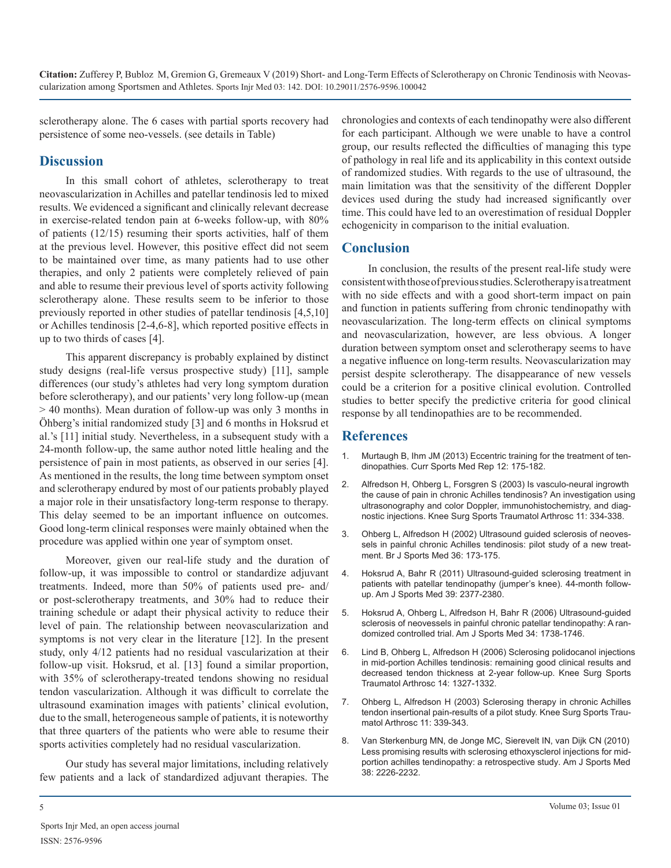sclerotherapy alone. The 6 cases with partial sports recovery had persistence of some neo-vessels. (see details in Table)

# **Discussion**

In this small cohort of athletes, sclerotherapy to treat neovascularization in Achilles and patellar tendinosis led to mixed results. We evidenced a significant and clinically relevant decrease in exercise-related tendon pain at 6-weeks follow-up, with 80% of patients (12/15) resuming their sports activities, half of them at the previous level. However, this positive effect did not seem to be maintained over time, as many patients had to use other therapies, and only 2 patients were completely relieved of pain and able to resume their previous level of sports activity following sclerotherapy alone. These results seem to be inferior to those previously reported in other studies of patellar tendinosis [4,5,10] or Achilles tendinosis [2-4,6-8], which reported positive effects in up to two thirds of cases [4].

This apparent discrepancy is probably explained by distinct study designs (real-life versus prospective study) [11], sample differences (our study's athletes had very long symptom duration before sclerotherapy), and our patients' very long follow-up (mean > 40 months). Mean duration of follow-up was only 3 months in Öhberg's initial randomized study [3] and 6 months in Hoksrud et al.'s [11] initial study. Nevertheless, in a subsequent study with a 24-month follow-up, the same author noted little healing and the [persistence of pain in most patients, as observed in our series \[4\].](https://www.ncbi.nlm.nih.gov/pubmed/23669088)  As mentioned in the results, the long time between symptom onset and sclerotherapy endured by most of our patients probably played a major role in their unsatisfactory long-term response to therapy. This delay seemed to be an important influence on outcomes. Good long-term clinical responses were mainly obtained when the procedure was applied within one year of symptom onset.

Moreover, given our real-life study and the duration of follow-up, it was impossible to control or standardize adjuvant treatments. Indeed, more than 50% of patients used pre- and/ or post-sclerotherapy treatments, and 30% had to reduce their training schedule or adapt their physical activity to reduce their level of pain. The relationship between neovascularization and symptoms is not very clear in the literature [12]. In the present study, only 4/12 patients had no residual vascularization at their follow-up visit. Hoksrud, et al. [13] found a similar proportion, with 35% of sclerotherapy-treated tendons showing no residual tendon vascularization. Although it was difficult to correlate the ultrasound examination images with patients' clinical evolution, due to the small, heterogeneous sample of patients, it is noteworthy that three quarters of the patients who were able to resume their sports activities completely had no residual vascularization.

Our study has several major limitations, including relatively few patients and a lack of standardized adjuvant therapies. The chronologies and contexts of each tendinopathy were also different for each participant. Although we were unable to have a control group, our results reflected the difficulties of managing this type of pathology in real life and its applicability in this context outside of randomized studies. With regards to the use of ultrasound, the main limitation was that the sensitivity of the different Doppler devices used during the study had increased significantly over time. This could have led to an overestimation of residual Doppler echogenicity in comparison to the initial evaluation.

# **Conclusion**

In conclusion, the results of the present real-life study were consistent with those of previous studies. Sclerotherapy is a treatment with no side effects and with a good short-term impact on pain and function in patients suffering from chronic tendinopathy with neovascularization. The long-term effects on clinical symptoms and neovascularization, however, are less obvious. A longer duration between symptom onset and sclerotherapy seems to have a negative influence on long-term results. Neovascularization may persist despite sclerotherapy. The disappearance of new vessels could be a criterion for a positive clinical evolution. Controlled studies to better specify the predictive criteria for good clinical response by all tendinopathies are to be recommended.

# **References**

- 1. [Murtaugh B, Ihm JM \(2013\) Eccentric training for the treatment of ten](https://www.ncbi.nlm.nih.gov/pubmed/23669088)dinopathies. Curr Sports Med Rep 12: 175-182.
- 2. [Alfredson H, Ohberg L, Forsgren S \(2003\) Is vasculo-neural ingrowth](https://www.ncbi.nlm.nih.gov/pubmed/14520512)  [the cause of pain in chronic Achilles tendinosis? An investigation using](https://www.ncbi.nlm.nih.gov/pubmed/14520512)  [ultrasonography and color Doppler, immunohistochemistry, and diag](https://www.ncbi.nlm.nih.gov/pubmed/14520512)[nostic injections. Knee Surg Sports Traumatol Arthrosc 11: 334-338.](https://www.ncbi.nlm.nih.gov/pubmed/14520512)
- 3. [Ohberg L, Alfredson H \(2002\) Ultrasound guided sclerosis of neoves](https://www.ncbi.nlm.nih.gov/pubmed/12055110)[sels in painful chronic Achilles tendinosis: pilot study of a new treat](https://www.ncbi.nlm.nih.gov/pubmed/12055110)[ment. Br J Sports Med 36: 173-175.](https://www.ncbi.nlm.nih.gov/pubmed/12055110)
- 4. [Hoksrud A, Bahr R \(2011\) Ultrasound-guided sclerosing treatment in](https://www.ncbi.nlm.nih.gov/pubmed/21841065)  [patients with patellar tendinopathy \(jumper's knee\). 44-month follow](https://www.ncbi.nlm.nih.gov/pubmed/21841065)[up. Am J Sports Med 39: 2377-2380.](https://www.ncbi.nlm.nih.gov/pubmed/21841065)
- 5. [Hoksrud A, Ohberg L, Alfredson H, Bahr R \(2006\) Ultrasound-guided](https://www.ncbi.nlm.nih.gov/pubmed/16832128)  [sclerosis of neovessels in painful chronic patellar tendinopathy: A ran](https://www.ncbi.nlm.nih.gov/pubmed/16832128)[domized controlled trial. Am J Sports Med 34: 1738-1746.](https://www.ncbi.nlm.nih.gov/pubmed/16832128)
- 6. [Lind B, Ohberg L, Alfredson H \(2006\) Sclerosing polidocanol injections](https://www.ncbi.nlm.nih.gov/pubmed/16967202)  [in mid-portion Achilles tendinosis: remaining good clinical results and](https://www.ncbi.nlm.nih.gov/pubmed/16967202) [decreased tendon thickness at 2-year follow-up. Knee Surg Sports](https://www.ncbi.nlm.nih.gov/pubmed/16967202)  [Traumatol Arthrosc 14: 1327-1332.](https://www.ncbi.nlm.nih.gov/pubmed/16967202)
- 7. [Ohberg L, Alfredson H \(2003\) Sclerosing therapy in chronic Achilles](https://www.ncbi.nlm.nih.gov/pubmed/12925869)  [tendon insertional pain-results of a pilot study. Knee Surg Sports Trau](https://www.ncbi.nlm.nih.gov/pubmed/12925869)[matol Arthrosc 11: 339-343.](https://www.ncbi.nlm.nih.gov/pubmed/12925869)
- 8. [Van Sterkenburg MN, de Jonge MC, Sierevelt IN, van Dijk CN \(2010\)](https://www.ncbi.nlm.nih.gov/pubmed/20601592)  [Less promising results with sclerosing ethoxysclerol injections for mid](https://www.ncbi.nlm.nih.gov/pubmed/20601592)[portion achilles tendinopathy: a retrospective study. Am J Sports Med](https://www.ncbi.nlm.nih.gov/pubmed/20601592)  [38: 2226-2232.](https://www.ncbi.nlm.nih.gov/pubmed/20601592)